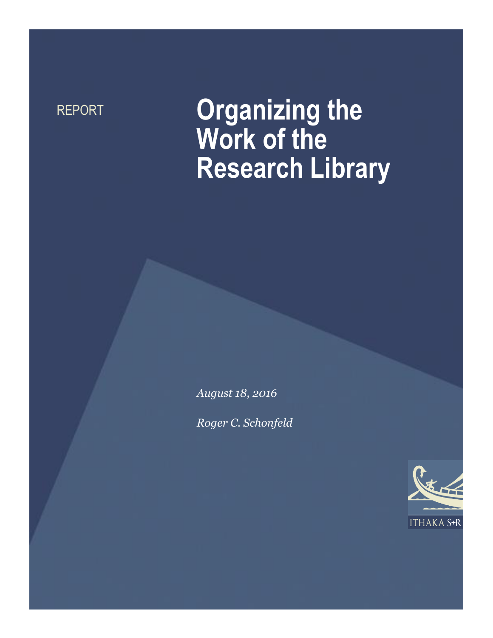# REPORT **Organizing the Work of the Research Library**

*August 18, 2016*

*Roger C. Schonfeld*

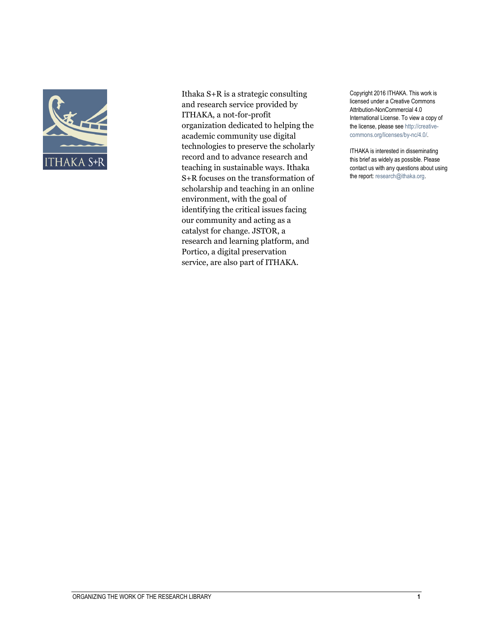

Ithaka S+R is a strategic consulting and research service provided by ITHAKA, a not-for-profit organization dedicated to helping the academic community use digital technologies to preserve the scholarly record and to advance research and teaching in sustainable ways. Ithaka S+R focuses on the transformation of scholarship and teaching in an online environment, with the goal of identifying the critical issues facing our community and acting as a catalyst for change. JSTOR, a research and learning platform, and Portico, a digital preservation service, are also part of ITHAKA.

Copyright 2016 ITHAKA. This work is licensed under a Creative Commons Attribution-NonCommercial 4.0 International License. To view a copy of the license, please see http://creativecommons.org/licenses/by-nc/4.0/.

ITHAKA is interested in disseminating this brief as widely as possible. Please contact us with any questions about using the report: research@ithaka.org.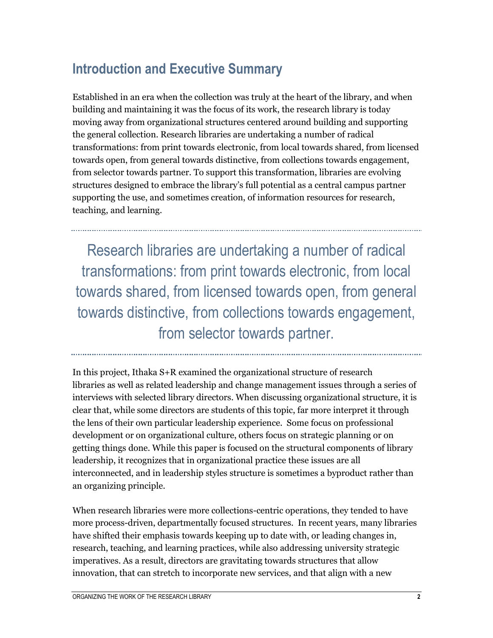### **Introduction and Executive Summary**

Established in an era when the collection was truly at the heart of the library, and when building and maintaining it was the focus of its work, the research library is today moving away from organizational structures centered around building and supporting the general collection. Research libraries are undertaking a number of radical transformations: from print towards electronic, from local towards shared, from licensed towards open, from general towards distinctive, from collections towards engagement, from selector towards partner. To support this transformation, libraries are evolving structures designed to embrace the library's full potential as a central campus partner supporting the use, and sometimes creation, of information resources for research, teaching, and learning.

Research libraries are undertaking a number of radical transformations: from print towards electronic, from local towards shared, from licensed towards open, from general towards distinctive, from collections towards engagement, from selector towards partner.

In this project, Ithaka S+R examined the organizational structure of research libraries as well as related leadership and change management issues through a series of interviews with selected library directors. When discussing organizational structure, it is clear that, while some directors are students of this topic, far more interpret it through the lens of their own particular leadership experience. Some focus on professional development or on organizational culture, others focus on strategic planning or on getting things done. While this paper is focused on the structural components of library leadership, it recognizes that in organizational practice these issues are all interconnected, and in leadership styles structure is sometimes a byproduct rather than an organizing principle.

When research libraries were more collections-centric operations, they tended to have more process-driven, departmentally focused structures. In recent years, many libraries have shifted their emphasis towards keeping up to date with, or leading changes in, research, teaching, and learning practices, while also addressing university strategic imperatives. As a result, directors are gravitating towards structures that allow innovation, that can stretch to incorporate new services, and that align with a new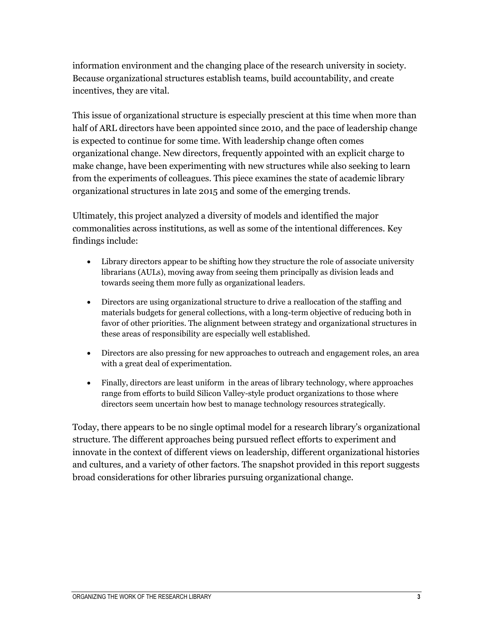information environment and the changing place of the research university in society. Because organizational structures establish teams, build accountability, and create incentives, they are vital.

This issue of organizational structure is especially prescient at this time when more than half of ARL directors have been appointed since 2010, and the pace of leadership change is expected to continue for some time. With leadership change often comes organizational change. New directors, frequently appointed with an explicit charge to make change, have been experimenting with new structures while also seeking to learn from the experiments of colleagues. This piece examines the state of academic library organizational structures in late 2015 and some of the emerging trends.

Ultimately, this project analyzed a diversity of models and identified the major commonalities across institutions, as well as some of the intentional differences. Key findings include:

- Library directors appear to be shifting how they structure the role of associate university librarians (AULs), moving away from seeing them principally as division leads and towards seeing them more fully as organizational leaders.
- Directors are using organizational structure to drive a reallocation of the staffing and materials budgets for general collections, with a long-term objective of reducing both in favor of other priorities. The alignment between strategy and organizational structures in these areas of responsibility are especially well established.
- Directors are also pressing for new approaches to outreach and engagement roles, an area with a great deal of experimentation.
- Finally, directors are least uniform in the areas of library technology, where approaches range from efforts to build Silicon Valley-style product organizations to those where directors seem uncertain how best to manage technology resources strategically.

Today, there appears to be no single optimal model for a research library's organizational structure. The different approaches being pursued reflect efforts to experiment and innovate in the context of different views on leadership, different organizational histories and cultures, and a variety of other factors. The snapshot provided in this report suggests broad considerations for other libraries pursuing organizational change.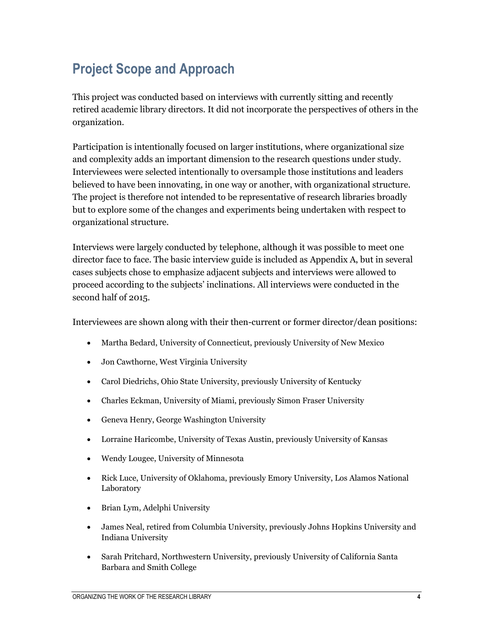### **Project Scope and Approach**

This project was conducted based on interviews with currently sitting and recently retired academic library directors. It did not incorporate the perspectives of others in the organization.

Participation is intentionally focused on larger institutions, where organizational size and complexity adds an important dimension to the research questions under study. Interviewees were selected intentionally to oversample those institutions and leaders believed to have been innovating, in one way or another, with organizational structure. The project is therefore not intended to be representative of research libraries broadly but to explore some of the changes and experiments being undertaken with respect to organizational structure.

Interviews were largely conducted by telephone, although it was possible to meet one director face to face. The basic interview guide is included as Appendix A, but in several cases subjects chose to emphasize adjacent subjects and interviews were allowed to proceed according to the subjects' inclinations. All interviews were conducted in the second half of 2015.

Interviewees are shown along with their then-current or former director/dean positions:

- Martha Bedard, University of Connecticut, previously University of New Mexico
- Jon Cawthorne, West Virginia University
- Carol Diedrichs, Ohio State University, previously University of Kentucky
- Charles Eckman, University of Miami, previously Simon Fraser University
- Geneva Henry, George Washington University
- Lorraine Haricombe, University of Texas Austin, previously University of Kansas
- Wendy Lougee, University of Minnesota
- Rick Luce, University of Oklahoma, previously Emory University, Los Alamos National Laboratory
- Brian Lym, Adelphi University
- James Neal, retired from Columbia University, previously Johns Hopkins University and Indiana University
- Sarah Pritchard, Northwestern University, previously University of California Santa Barbara and Smith College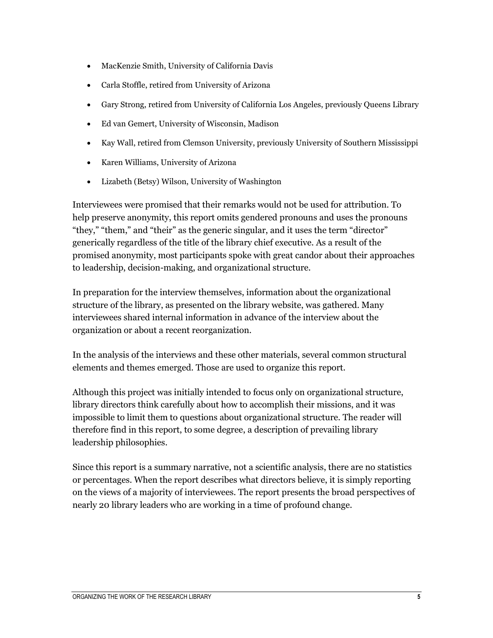- MacKenzie Smith, University of California Davis
- Carla Stoffle, retired from University of Arizona
- Gary Strong, retired from University of California Los Angeles, previously Queens Library
- Ed van Gemert, University of Wisconsin, Madison
- Kay Wall, retired from Clemson University, previously University of Southern Mississippi
- Karen Williams, University of Arizona
- Lizabeth (Betsy) Wilson, University of Washington

Interviewees were promised that their remarks would not be used for attribution. To help preserve anonymity, this report omits gendered pronouns and uses the pronouns "they," "them," and "their" as the generic singular, and it uses the term "director" generically regardless of the title of the library chief executive. As a result of the promised anonymity, most participants spoke with great candor about their approaches to leadership, decision-making, and organizational structure.

In preparation for the interview themselves, information about the organizational structure of the library, as presented on the library website, was gathered. Many interviewees shared internal information in advance of the interview about the organization or about a recent reorganization.

In the analysis of the interviews and these other materials, several common structural elements and themes emerged. Those are used to organize this report.

Although this project was initially intended to focus only on organizational structure, library directors think carefully about how to accomplish their missions, and it was impossible to limit them to questions about organizational structure. The reader will therefore find in this report, to some degree, a description of prevailing library leadership philosophies.

Since this report is a summary narrative, not a scientific analysis, there are no statistics or percentages. When the report describes what directors believe, it is simply reporting on the views of a majority of interviewees. The report presents the broad perspectives of nearly 20 library leaders who are working in a time of profound change.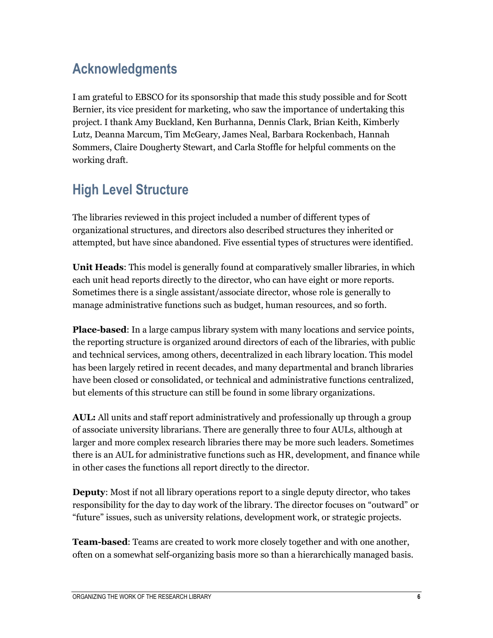### **Acknowledgments**

I am grateful to EBSCO for its sponsorship that made this study possible and for Scott Bernier, its vice president for marketing, who saw the importance of undertaking this project. I thank Amy Buckland, Ken Burhanna, Dennis Clark, Brian Keith, Kimberly Lutz, Deanna Marcum, Tim McGeary, James Neal, Barbara Rockenbach, Hannah Sommers, Claire Dougherty Stewart, and Carla Stoffle for helpful comments on the working draft.

### **High Level Structure**

The libraries reviewed in this project included a number of different types of organizational structures, and directors also described structures they inherited or attempted, but have since abandoned. Five essential types of structures were identified.

**Unit Heads**: This model is generally found at comparatively smaller libraries, in which each unit head reports directly to the director, who can have eight or more reports. Sometimes there is a single assistant/associate director, whose role is generally to manage administrative functions such as budget, human resources, and so forth.

**Place-based**: In a large campus library system with many locations and service points, the reporting structure is organized around directors of each of the libraries, with public and technical services, among others, decentralized in each library location. This model has been largely retired in recent decades, and many departmental and branch libraries have been closed or consolidated, or technical and administrative functions centralized, but elements of this structure can still be found in some library organizations.

**AUL:** All units and staff report administratively and professionally up through a group of associate university librarians. There are generally three to four AULs, although at larger and more complex research libraries there may be more such leaders. Sometimes there is an AUL for administrative functions such as HR, development, and finance while in other cases the functions all report directly to the director.

**Deputy**: Most if not all library operations report to a single deputy director, who takes responsibility for the day to day work of the library. The director focuses on "outward" or "future" issues, such as university relations, development work, or strategic projects.

**Team-based**: Teams are created to work more closely together and with one another, often on a somewhat self-organizing basis more so than a hierarchically managed basis.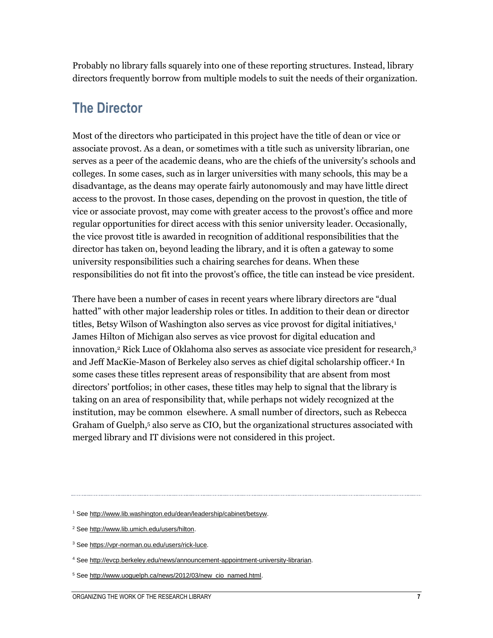Probably no library falls squarely into one of these reporting structures. Instead, library directors frequently borrow from multiple models to suit the needs of their organization.

### **The Director**

Most of the directors who participated in this project have the title of dean or vice or associate provost. As a dean, or sometimes with a title such as university librarian, one serves as a peer of the academic deans, who are the chiefs of the university's schools and colleges. In some cases, such as in larger universities with many schools, this may be a disadvantage, as the deans may operate fairly autonomously and may have little direct access to the provost. In those cases, depending on the provost in question, the title of vice or associate provost, may come with greater access to the provost's office and more regular opportunities for direct access with this senior university leader. Occasionally, the vice provost title is awarded in recognition of additional responsibilities that the director has taken on, beyond leading the library, and it is often a gateway to some university responsibilities such a chairing searches for deans. When these responsibilities do not fit into the provost's office, the title can instead be vice president.

There have been a number of cases in recent years where library directors are "dual hatted" with other major leadership roles or titles. In addition to their dean or director titles, Betsy Wilson of Washington also serves as vice provost for digital initiatives,<sup>1</sup> James Hilton of Michigan also serves as vice provost for digital education and innovation,<sup>2</sup> Rick Luce of Oklahoma also serves as associate vice president for research,<sup>3</sup> and Jeff MacKie-Mason of Berkeley also serves as chief digital scholarship officer.<sup>4</sup> In some cases these titles represent areas of responsibility that are absent from most directors' portfolios; in other cases, these titles may help to signal that the library is taking on an area of responsibility that, while perhaps not widely recognized at the institution, may be common elsewhere. A small number of directors, such as Rebecca Graham of Guelph,<sup>5</sup> also serve as CIO, but the organizational structures associated with merged library and IT divisions were not considered in this project.

- <sup>3</sup> Se[e https://vpr-norman.ou.edu/users/rick-luce.](https://vpr-norman.ou.edu/users/rick-luce)
- <sup>4</sup> Se[e http://evcp.berkeley.edu/news/announcement-appointment-university-librarian.](http://evcp.berkeley.edu/news/announcement-appointment-university-librarian)
- <sup>5</sup> Se[e http://www.uoguelph.ca/news/2012/03/new\\_cio\\_named.html.](http://www.uoguelph.ca/news/2012/03/new_cio_named.html)

<sup>1</sup> Se[e http://www.lib.washington.edu/dean/leadership/cabinet/betsyw.](http://www.lib.washington.edu/dean/leadership/cabinet/betsyw)

<sup>2</sup> Se[e http://www.lib.umich.edu/users/hilton.](http://www.lib.umich.edu/users/hilton)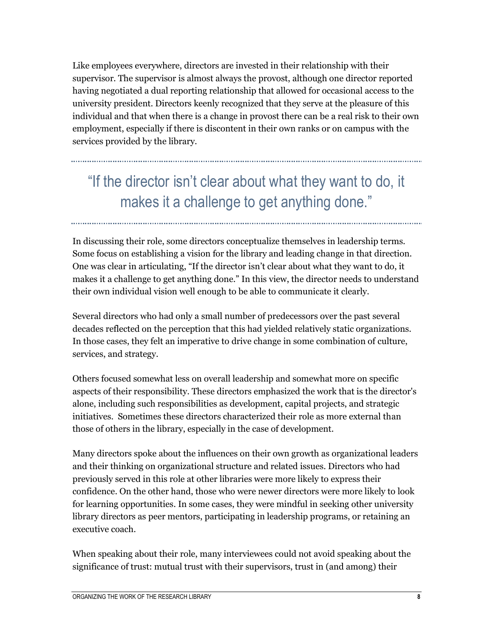Like employees everywhere, directors are invested in their relationship with their supervisor. The supervisor is almost always the provost, although one director reported having negotiated a dual reporting relationship that allowed for occasional access to the university president. Directors keenly recognized that they serve at the pleasure of this individual and that when there is a change in provost there can be a real risk to their own employment, especially if there is discontent in their own ranks or on campus with the services provided by the library.

### "If the director isn't clear about what they want to do, it makes it a challenge to get anything done."

In discussing their role, some directors conceptualize themselves in leadership terms. Some focus on establishing a vision for the library and leading change in that direction. One was clear in articulating, "If the director isn't clear about what they want to do, it makes it a challenge to get anything done." In this view, the director needs to understand their own individual vision well enough to be able to communicate it clearly.

Several directors who had only a small number of predecessors over the past several decades reflected on the perception that this had yielded relatively static organizations. In those cases, they felt an imperative to drive change in some combination of culture, services, and strategy.

Others focused somewhat less on overall leadership and somewhat more on specific aspects of their responsibility. These directors emphasized the work that is the director's alone, including such responsibilities as development, capital projects, and strategic initiatives. Sometimes these directors characterized their role as more external than those of others in the library, especially in the case of development.

Many directors spoke about the influences on their own growth as organizational leaders and their thinking on organizational structure and related issues. Directors who had previously served in this role at other libraries were more likely to express their confidence. On the other hand, those who were newer directors were more likely to look for learning opportunities. In some cases, they were mindful in seeking other university library directors as peer mentors, participating in leadership programs, or retaining an executive coach.

When speaking about their role, many interviewees could not avoid speaking about the significance of trust: mutual trust with their supervisors, trust in (and among) their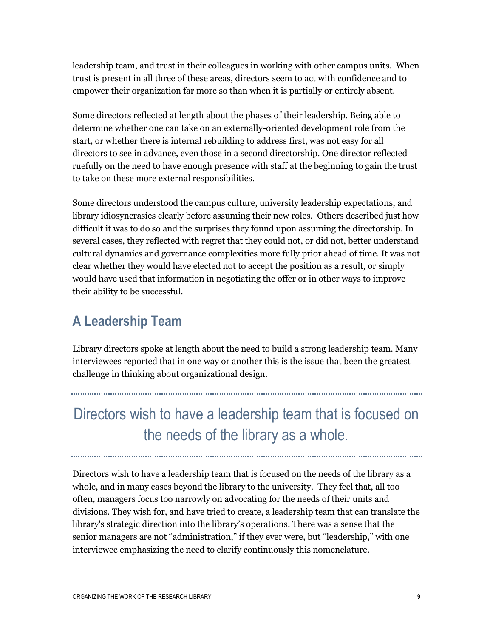leadership team, and trust in their colleagues in working with other campus units. When trust is present in all three of these areas, directors seem to act with confidence and to empower their organization far more so than when it is partially or entirely absent.

Some directors reflected at length about the phases of their leadership. Being able to determine whether one can take on an externally-oriented development role from the start, or whether there is internal rebuilding to address first, was not easy for all directors to see in advance, even those in a second directorship. One director reflected ruefully on the need to have enough presence with staff at the beginning to gain the trust to take on these more external responsibilities.

Some directors understood the campus culture, university leadership expectations, and library idiosyncrasies clearly before assuming their new roles. Others described just how difficult it was to do so and the surprises they found upon assuming the directorship. In several cases, they reflected with regret that they could not, or did not, better understand cultural dynamics and governance complexities more fully prior ahead of time. It was not clear whether they would have elected not to accept the position as a result, or simply would have used that information in negotiating the offer or in other ways to improve their ability to be successful.

### **A Leadership Team**

Library directors spoke at length about the need to build a strong leadership team. Many interviewees reported that in one way or another this is the issue that been the greatest challenge in thinking about organizational design.

### Directors wish to have a leadership team that is focused on the needs of the library as a whole.

Directors wish to have a leadership team that is focused on the needs of the library as a whole, and in many cases beyond the library to the university. They feel that, all too often, managers focus too narrowly on advocating for the needs of their units and divisions. They wish for, and have tried to create, a leadership team that can translate the library's strategic direction into the library's operations. There was a sense that the senior managers are not "administration," if they ever were, but "leadership," with one interviewee emphasizing the need to clarify continuously this nomenclature.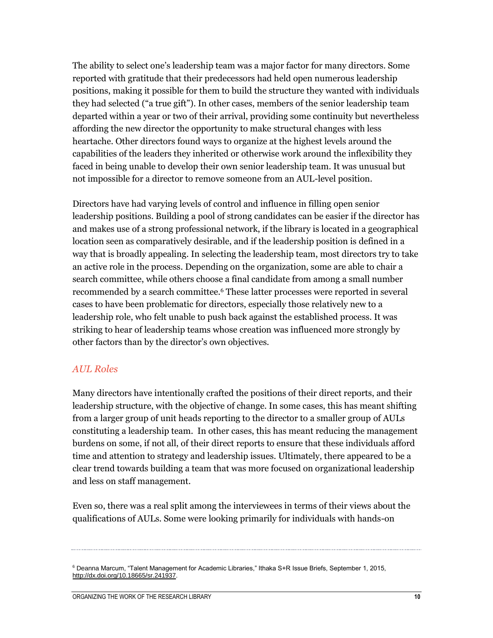The ability to select one's leadership team was a major factor for many directors. Some reported with gratitude that their predecessors had held open numerous leadership positions, making it possible for them to build the structure they wanted with individuals they had selected ("a true gift"). In other cases, members of the senior leadership team departed within a year or two of their arrival, providing some continuity but nevertheless affording the new director the opportunity to make structural changes with less heartache. Other directors found ways to organize at the highest levels around the capabilities of the leaders they inherited or otherwise work around the inflexibility they faced in being unable to develop their own senior leadership team. It was unusual but not impossible for a director to remove someone from an AUL-level position.

Directors have had varying levels of control and influence in filling open senior leadership positions. Building a pool of strong candidates can be easier if the director has and makes use of a strong professional network, if the library is located in a geographical location seen as comparatively desirable, and if the leadership position is defined in a way that is broadly appealing. In selecting the leadership team, most directors try to take an active role in the process. Depending on the organization, some are able to chair a search committee, while others choose a final candidate from among a small number recommended by a search committee.<sup>6</sup> These latter processes were reported in several cases to have been problematic for directors, especially those relatively new to a leadership role, who felt unable to push back against the established process. It was striking to hear of leadership teams whose creation was influenced more strongly by other factors than by the director's own objectives.

#### *AUL Roles*

Many directors have intentionally crafted the positions of their direct reports, and their leadership structure, with the objective of change. In some cases, this has meant shifting from a larger group of unit heads reporting to the director to a smaller group of AULs constituting a leadership team. In other cases, this has meant reducing the management burdens on some, if not all, of their direct reports to ensure that these individuals afford time and attention to strategy and leadership issues. Ultimately, there appeared to be a clear trend towards building a team that was more focused on organizational leadership and less on staff management.

Even so, there was a real split among the interviewees in terms of their views about the qualifications of AULs. Some were looking primarily for individuals with hands-on

<sup>6</sup> Deanna Marcum, "Talent Management for Academic Libraries," Ithaka S+R Issue Briefs, September 1, 2015, [http://dx.doi.org/10.18665/sr.241937.](http://dx.doi.org/10.18665/sr.241937)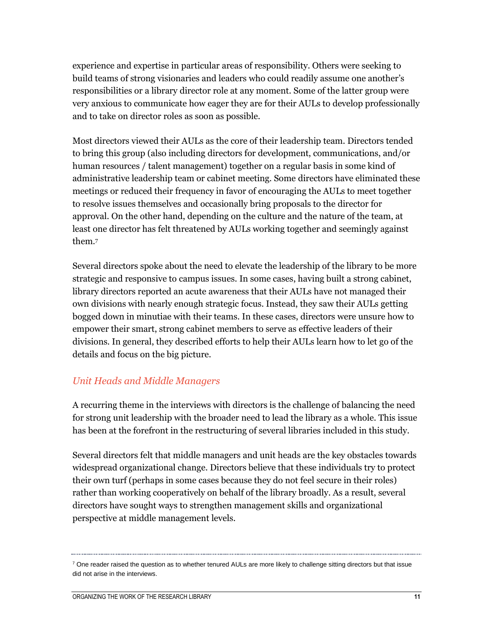experience and expertise in particular areas of responsibility. Others were seeking to build teams of strong visionaries and leaders who could readily assume one another's responsibilities or a library director role at any moment. Some of the latter group were very anxious to communicate how eager they are for their AULs to develop professionally and to take on director roles as soon as possible.

Most directors viewed their AULs as the core of their leadership team. Directors tended to bring this group (also including directors for development, communications, and/or human resources / talent management) together on a regular basis in some kind of administrative leadership team or cabinet meeting. Some directors have eliminated these meetings or reduced their frequency in favor of encouraging the AULs to meet together to resolve issues themselves and occasionally bring proposals to the director for approval. On the other hand, depending on the culture and the nature of the team, at least one director has felt threatened by AULs working together and seemingly against them.<sup>7</sup>

Several directors spoke about the need to elevate the leadership of the library to be more strategic and responsive to campus issues. In some cases, having built a strong cabinet, library directors reported an acute awareness that their AULs have not managed their own divisions with nearly enough strategic focus. Instead, they saw their AULs getting bogged down in minutiae with their teams. In these cases, directors were unsure how to empower their smart, strong cabinet members to serve as effective leaders of their divisions. In general, they described efforts to help their AULs learn how to let go of the details and focus on the big picture.

#### *Unit Heads and Middle Managers*

A recurring theme in the interviews with directors is the challenge of balancing the need for strong unit leadership with the broader need to lead the library as a whole. This issue has been at the forefront in the restructuring of several libraries included in this study.

Several directors felt that middle managers and unit heads are the key obstacles towards widespread organizational change. Directors believe that these individuals try to protect their own turf (perhaps in some cases because they do not feel secure in their roles) rather than working cooperatively on behalf of the library broadly. As a result, several directors have sought ways to strengthen management skills and organizational perspective at middle management levels.

 $7$  One reader raised the question as to whether tenured AULs are more likely to challenge sitting directors but that issue did not arise in the interviews.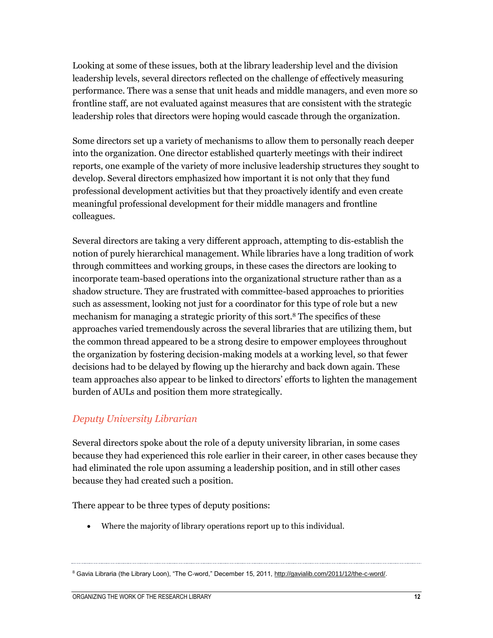Looking at some of these issues, both at the library leadership level and the division leadership levels, several directors reflected on the challenge of effectively measuring performance. There was a sense that unit heads and middle managers, and even more so frontline staff, are not evaluated against measures that are consistent with the strategic leadership roles that directors were hoping would cascade through the organization.

Some directors set up a variety of mechanisms to allow them to personally reach deeper into the organization. One director established quarterly meetings with their indirect reports, one example of the variety of more inclusive leadership structures they sought to develop. Several directors emphasized how important it is not only that they fund professional development activities but that they proactively identify and even create meaningful professional development for their middle managers and frontline colleagues.

Several directors are taking a very different approach, attempting to dis-establish the notion of purely hierarchical management. While libraries have a long tradition of work through committees and working groups, in these cases the directors are looking to incorporate team-based operations into the organizational structure rather than as a shadow structure. They are frustrated with committee-based approaches to priorities such as assessment, looking not just for a coordinator for this type of role but a new mechanism for managing a strategic priority of this sort.<sup>8</sup> The specifics of these approaches varied tremendously across the several libraries that are utilizing them, but the common thread appeared to be a strong desire to empower employees throughout the organization by fostering decision-making models at a working level, so that fewer decisions had to be delayed by flowing up the hierarchy and back down again. These team approaches also appear to be linked to directors' efforts to lighten the management burden of AULs and position them more strategically.

#### *Deputy University Librarian*

Several directors spoke about the role of a deputy university librarian, in some cases because they had experienced this role earlier in their career, in other cases because they had eliminated the role upon assuming a leadership position, and in still other cases because they had created such a position.

There appear to be three types of deputy positions:

Where the majority of library operations report up to this individual.

<sup>&</sup>lt;sup>8</sup> Gavia Libraria (the Library Loon), "The C-word," December 15, 2011, [http://gavialib.com/2011/12/the-c-word/.](http://gavialib.com/2011/12/the-c-word/)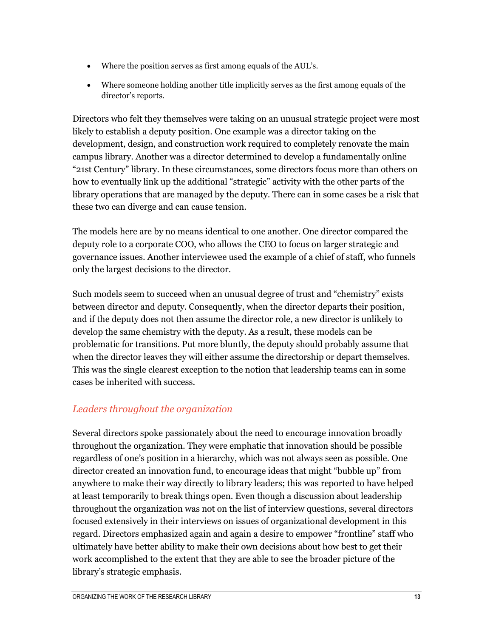- Where the position serves as first among equals of the AUL's.
- Where someone holding another title implicitly serves as the first among equals of the director's reports.

Directors who felt they themselves were taking on an unusual strategic project were most likely to establish a deputy position. One example was a director taking on the development, design, and construction work required to completely renovate the main campus library. Another was a director determined to develop a fundamentally online "21st Century" library. In these circumstances, some directors focus more than others on how to eventually link up the additional "strategic" activity with the other parts of the library operations that are managed by the deputy. There can in some cases be a risk that these two can diverge and can cause tension.

The models here are by no means identical to one another. One director compared the deputy role to a corporate COO, who allows the CEO to focus on larger strategic and governance issues. Another interviewee used the example of a chief of staff, who funnels only the largest decisions to the director.

Such models seem to succeed when an unusual degree of trust and "chemistry" exists between director and deputy. Consequently, when the director departs their position, and if the deputy does not then assume the director role, a new director is unlikely to develop the same chemistry with the deputy. As a result, these models can be problematic for transitions. Put more bluntly, the deputy should probably assume that when the director leaves they will either assume the directorship or depart themselves. This was the single clearest exception to the notion that leadership teams can in some cases be inherited with success.

#### *Leaders throughout the organization*

Several directors spoke passionately about the need to encourage innovation broadly throughout the organization. They were emphatic that innovation should be possible regardless of one's position in a hierarchy, which was not always seen as possible. One director created an innovation fund, to encourage ideas that might "bubble up" from anywhere to make their way directly to library leaders; this was reported to have helped at least temporarily to break things open. Even though a discussion about leadership throughout the organization was not on the list of interview questions, several directors focused extensively in their interviews on issues of organizational development in this regard. Directors emphasized again and again a desire to empower "frontline" staff who ultimately have better ability to make their own decisions about how best to get their work accomplished to the extent that they are able to see the broader picture of the library's strategic emphasis.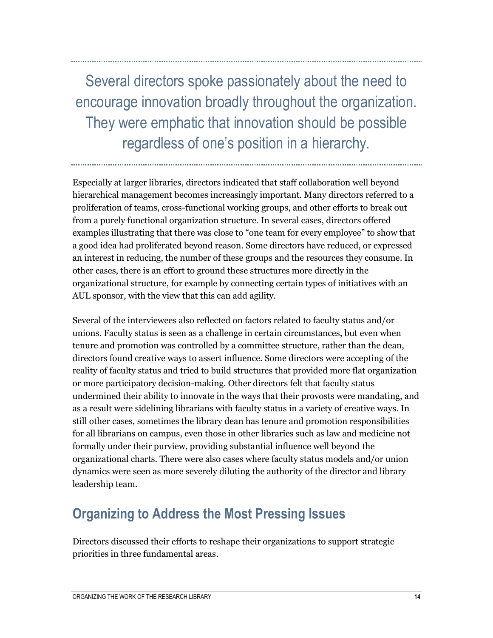Several directors spoke passionately about the need to encourage innovation broadly throughout the organization. They were emphatic that innovation should be possible regardless of one's position in a hierarchy.

Especially at larger libraries, directors indicated that staff collaboration well beyond hierarchical management becomes increasingly important. Many directors referred to a proliferation of teams, cross-functional working groups, and other efforts to break out from a purely functional organization structure. In several cases, directors offered examples illustrating that there was close to "one team for every employee" to show that a good idea had proliferated beyond reason. Some directors have reduced, or expressed an interest in reducing, the number of these groups and the resources they consume. In other cases, there is an effort to ground these structures more directly in the organizational structure, for example by connecting certain types of initiatives with an AUL sponsor, with the view that this can add agility.

Several of the interviewees also reflected on factors related to faculty status and/or unions. Faculty status is seen as a challenge in certain circumstances, but even when tenure and promotion was controlled by a committee structure, rather than the dean, directors found creative ways to assert influence. Some directors were accepting of the reality of faculty status and tried to build structures that provided more flat organization or more participatory decision-making. Other directors felt that faculty status undermined their ability to innovate in the ways that their provosts were mandating, and as a result were sidelining librarians with faculty status in a variety of creative ways. In still other cases, sometimes the library dean has tenure and promotion responsibilities for all librarians on campus, even those in other libraries such as law and medicine not formally under their purview, providing substantial influence well beyond the organizational charts. There were also cases where faculty status models and/or union dynamics were seen as more severely diluting the authority of the director and library leadership team.

### **Organizing to Address the Most Pressing Issues**

Directors discussed their efforts to reshape their organizations to support strategic priorities in three fundamental areas.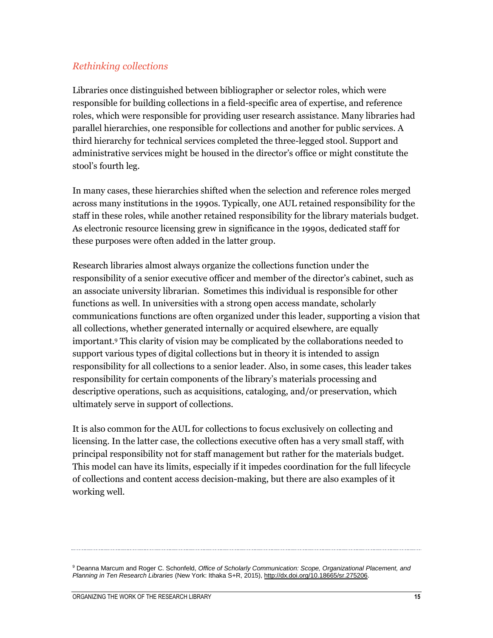#### *Rethinking collections*

Libraries once distinguished between bibliographer or selector roles, which were responsible for building collections in a field-specific area of expertise, and reference roles, which were responsible for providing user research assistance. Many libraries had parallel hierarchies, one responsible for collections and another for public services. A third hierarchy for technical services completed the three-legged stool. Support and administrative services might be housed in the director's office or might constitute the stool's fourth leg.

In many cases, these hierarchies shifted when the selection and reference roles merged across many institutions in the 1990s. Typically, one AUL retained responsibility for the staff in these roles, while another retained responsibility for the library materials budget. As electronic resource licensing grew in significance in the 1990s, dedicated staff for these purposes were often added in the latter group.

Research libraries almost always organize the collections function under the responsibility of a senior executive officer and member of the director's cabinet, such as an associate university librarian. Sometimes this individual is responsible for other functions as well. In universities with a strong open access mandate, scholarly communications functions are often organized under this leader, supporting a vision that all collections, whether generated internally or acquired elsewhere, are equally important.<sup>9</sup> This clarity of vision may be complicated by the collaborations needed to support various types of digital collections but in theory it is intended to assign responsibility for all collections to a senior leader. Also, in some cases, this leader takes responsibility for certain components of the library's materials processing and descriptive operations, such as acquisitions, cataloging, and/or preservation, which ultimately serve in support of collections.

It is also common for the AUL for collections to focus exclusively on collecting and licensing. In the latter case, the collections executive often has a very small staff, with principal responsibility not for staff management but rather for the materials budget. This model can have its limits, especially if it impedes coordination for the full lifecycle of collections and content access decision-making, but there are also examples of it working well.

<sup>9</sup> Deanna Marcum and Roger C. Schonfeld, *Office of Scholarly Communication: Scope, Organizational Placement, and Planning in Ten Research Libraries* (New York: Ithaka S+R, 2015), [http://dx.doi.org/10.18665/sr.275206.](http://dx.doi.org/10.18665/sr.275206)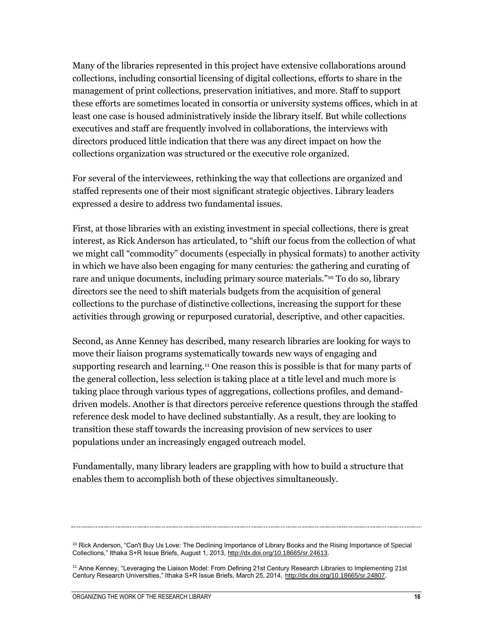Many of the libraries represented in this project have extensive collaborations around collections, including consortial licensing of digital collections, efforts to share in the management of print collections, preservation initiatives, and more. Staff to support these efforts are sometimes located in consortia or university systems offices, which in at least one case is housed administratively inside the library itself. But while collections executives and staff are frequently involved in collaborations, the interviews with directors produced little indication that there was any direct impact on how the collections organization was structured or the executive role organized.

For several of the interviewees, rethinking the way that collections are organized and staffed represents one of their most significant strategic objectives. Library leaders expressed a desire to address two fundamental issues.

First, at those libraries with an existing investment in special collections, there is great interest, as Rick Anderson has articulated, to "shift our focus from the collection of what we might call "commodity" documents (especially in physical formats) to another activity in which we have also been engaging for many centuries: the gathering and curating of rare and unique documents, including primary source materials."<sup>10</sup> To do so, library directors see the need to shift materials budgets from the acquisition of general collections to the purchase of distinctive collections, increasing the support for these activities through growing or repurposed curatorial, descriptive, and other capacities.

Second, as Anne Kenney has described, many research libraries are looking for ways to move their liaison programs systematically towards new ways of engaging and supporting research and learning.<sup>11</sup> One reason this is possible is that for many parts of the general collection, less selection is taking place at a title level and much more is taking place through various types of aggregations, collections profiles, and demanddriven models. Another is that directors perceive reference questions through the staffed reference desk model to have declined substantially. As a result, they are looking to transition these staff towards the increasing provision of new services to user populations under an increasingly engaged outreach model.

Fundamentally, many library leaders are grappling with how to build a structure that enables them to accomplish both of these objectives simultaneously.

<sup>&</sup>lt;sup>10</sup> Rick Anderson, "Can't Buy Us Love: The Declining Importance of Library Books and the Rising Importance of Special Collections," Ithaka S+R Issue Briefs, August 1, 2013, [http://dx.doi.org/10.18665/sr.24613.](http://dx.doi.org/10.18665/sr.24613)

<sup>&</sup>lt;sup>11</sup> Anne Kenney, "Leveraging the Liaison Model: From Defining 21st Century Research Libraries to Implementing 21st Century Research Universities," Ithaka S+R Issue Briefs, March 25, 2014, [http://dx.doi.org/10.18665/sr.24807.](http://dx.doi.org/10.18665/sr.24807)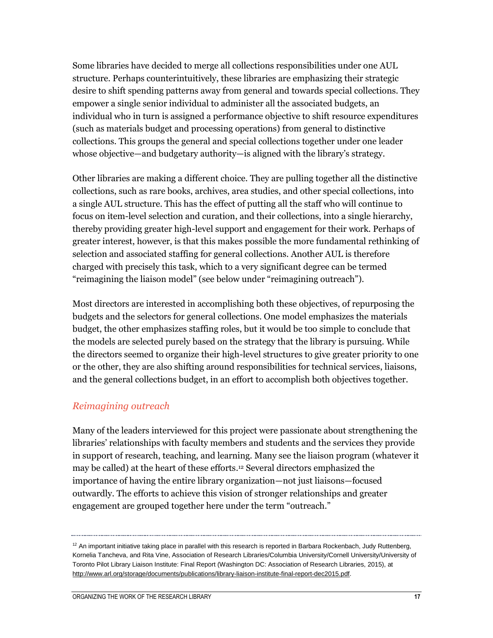Some libraries have decided to merge all collections responsibilities under one AUL structure. Perhaps counterintuitively, these libraries are emphasizing their strategic desire to shift spending patterns away from general and towards special collections. They empower a single senior individual to administer all the associated budgets, an individual who in turn is assigned a performance objective to shift resource expenditures (such as materials budget and processing operations) from general to distinctive collections. This groups the general and special collections together under one leader whose objective—and budgetary authority—is aligned with the library's strategy.

Other libraries are making a different choice. They are pulling together all the distinctive collections, such as rare books, archives, area studies, and other special collections, into a single AUL structure. This has the effect of putting all the staff who will continue to focus on item-level selection and curation, and their collections, into a single hierarchy, thereby providing greater high-level support and engagement for their work. Perhaps of greater interest, however, is that this makes possible the more fundamental rethinking of selection and associated staffing for general collections. Another AUL is therefore charged with precisely this task, which to a very significant degree can be termed "reimagining the liaison model" (see below under "reimagining outreach").

Most directors are interested in accomplishing both these objectives, of repurposing the budgets and the selectors for general collections. One model emphasizes the materials budget, the other emphasizes staffing roles, but it would be too simple to conclude that the models are selected purely based on the strategy that the library is pursuing. While the directors seemed to organize their high-level structures to give greater priority to one or the other, they are also shifting around responsibilities for technical services, liaisons, and the general collections budget, in an effort to accomplish both objectives together.

#### *Reimagining outreach*

Many of the leaders interviewed for this project were passionate about strengthening the libraries' relationships with faculty members and students and the services they provide in support of research, teaching, and learning. Many see the liaison program (whatever it may be called) at the heart of these efforts. <sup>12</sup> Several directors emphasized the importance of having the entire library organization—not just liaisons—focused outwardly. The efforts to achieve this vision of stronger relationships and greater engagement are grouped together here under the term "outreach."

 $12$  An important initiative taking place in parallel with this research is reported in Barbara Rockenbach, Judy Ruttenberg, Kornelia Tancheva, and Rita Vine, Association of Research Libraries/Columbia University/Cornell University/University of Toronto Pilot Library Liaison Institute: Final Report (Washington DC: Association of Research Libraries, 2015), at [http://www.arl.org/storage/documents/publications/library-liaison-institute-final-report-dec2015.pdf.](http://www.arl.org/storage/documents/publications/library-liaison-institute-final-report-dec2015.pdf)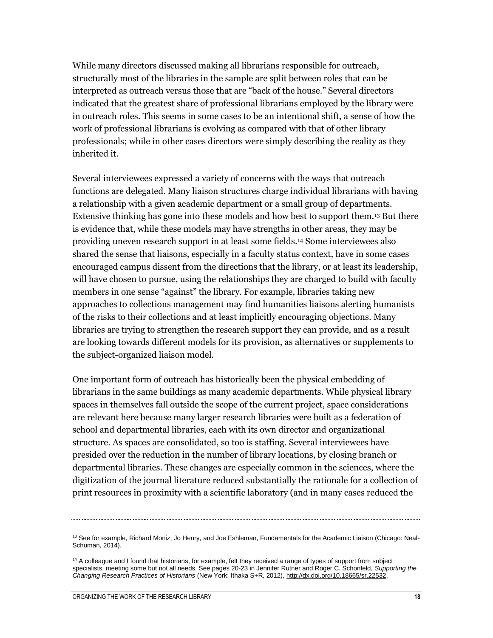While many directors discussed making all librarians responsible for outreach, structurally most of the libraries in the sample are split between roles that can be interpreted as outreach versus those that are "back of the house." Several directors indicated that the greatest share of professional librarians employed by the library were in outreach roles. This seems in some cases to be an intentional shift, a sense of how the work of professional librarians is evolving as compared with that of other library professionals; while in other cases directors were simply describing the reality as they inherited it.

Several interviewees expressed a variety of concerns with the ways that outreach functions are delegated. Many liaison structures charge individual librarians with having a relationship with a given academic department or a small group of departments. Extensive thinking has gone into these models and how best to support them.<sup>13</sup> But there is evidence that, while these models may have strengths in other areas, they may be providing uneven research support in at least some fields.<sup>14</sup> Some interviewees also shared the sense that liaisons, especially in a faculty status context, have in some cases encouraged campus dissent from the directions that the library, or at least its leadership, will have chosen to pursue, using the relationships they are charged to build with faculty members in one sense "against" the library. For example, libraries taking new approaches to collections management may find humanities liaisons alerting humanists of the risks to their collections and at least implicitly encouraging objections. Many libraries are trying to strengthen the research support they can provide, and as a result are looking towards different models for its provision, as alternatives or supplements to the subject-organized liaison model.

One important form of outreach has historically been the physical embedding of librarians in the same buildings as many academic departments. While physical library spaces in themselves fall outside the scope of the current project, space considerations are relevant here because many larger research libraries were built as a federation of school and departmental libraries, each with its own director and organizational structure. As spaces are consolidated, so too is staffing. Several interviewees have presided over the reduction in the number of library locations, by closing branch or departmental libraries. These changes are especially common in the sciences, where the digitization of the journal literature reduced substantially the rationale for a collection of print resources in proximity with a scientific laboratory (and in many cases reduced the

<sup>&</sup>lt;sup>13</sup> See for example, Richard Moniz, Jo Henry, and Joe Eshleman, Fundamentals for the Academic Liaison (Chicago: Neal-Schuman, 2014).

<sup>&</sup>lt;sup>14</sup> A colleague and I found that historians, for example, felt they received a range of types of support from subject specialists, meeting some but not all needs. See pages 20-23 in Jennifer Rutner and Roger C. Schonfeld, *Supporting the Changing Research Practices of Historians* (New York: Ithaka S+R, 2012)[, http://dx.doi.org/10.18665/sr.22532.](http://dx.doi.org/10.18665/sr.22532)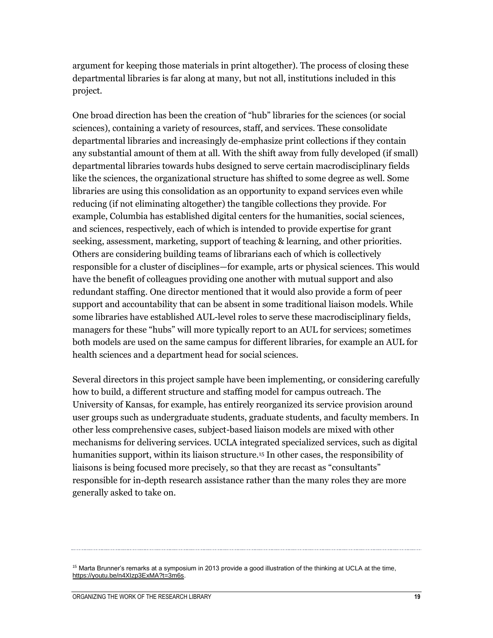argument for keeping those materials in print altogether). The process of closing these departmental libraries is far along at many, but not all, institutions included in this project.

One broad direction has been the creation of "hub" libraries for the sciences (or social sciences), containing a variety of resources, staff, and services. These consolidate departmental libraries and increasingly de-emphasize print collections if they contain any substantial amount of them at all. With the shift away from fully developed (if small) departmental libraries towards hubs designed to serve certain macrodisciplinary fields like the sciences, the organizational structure has shifted to some degree as well. Some libraries are using this consolidation as an opportunity to expand services even while reducing (if not eliminating altogether) the tangible collections they provide. For example, Columbia has established digital centers for the humanities, social sciences, and sciences, respectively, each of which is intended to provide expertise for grant seeking, assessment, marketing, support of teaching & learning, and other priorities. Others are considering building teams of librarians each of which is collectively responsible for a cluster of disciplines—for example, arts or physical sciences. This would have the benefit of colleagues providing one another with mutual support and also redundant staffing. One director mentioned that it would also provide a form of peer support and accountability that can be absent in some traditional liaison models. While some libraries have established AUL-level roles to serve these macrodisciplinary fields, managers for these "hubs" will more typically report to an AUL for services; sometimes both models are used on the same campus for different libraries, for example an AUL for health sciences and a department head for social sciences.

Several directors in this project sample have been implementing, or considering carefully how to build, a different structure and staffing model for campus outreach. The University of Kansas, for example, has entirely reorganized its service provision around user groups such as undergraduate students, graduate students, and faculty members. In other less comprehensive cases, subject-based liaison models are mixed with other mechanisms for delivering services. UCLA integrated specialized services, such as digital humanities support, within its liaison structure.<sup>15</sup> In other cases, the responsibility of liaisons is being focused more precisely, so that they are recast as "consultants" responsible for in-depth research assistance rather than the many roles they are more generally asked to take on.

<sup>&</sup>lt;sup>15</sup> Marta Brunner's remarks at a symposium in 2013 provide a good illustration of the thinking at UCLA at the time, [https://youtu.be/n4XIzp3ExMA?t=3m6s.](https://youtu.be/n4XIzp3ExMA?t=3m6s)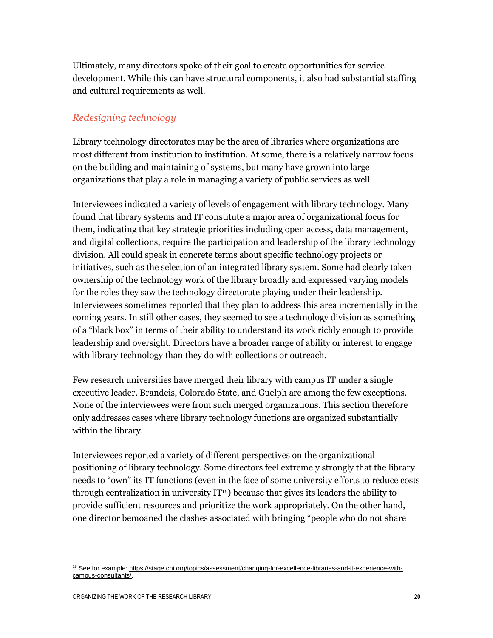Ultimately, many directors spoke of their goal to create opportunities for service development. While this can have structural components, it also had substantial staffing and cultural requirements as well.

#### *Redesigning technology*

Library technology directorates may be the area of libraries where organizations are most different from institution to institution. At some, there is a relatively narrow focus on the building and maintaining of systems, but many have grown into large organizations that play a role in managing a variety of public services as well.

Interviewees indicated a variety of levels of engagement with library technology. Many found that library systems and IT constitute a major area of organizational focus for them, indicating that key strategic priorities including open access, data management, and digital collections, require the participation and leadership of the library technology division. All could speak in concrete terms about specific technology projects or initiatives, such as the selection of an integrated library system. Some had clearly taken ownership of the technology work of the library broadly and expressed varying models for the roles they saw the technology directorate playing under their leadership. Interviewees sometimes reported that they plan to address this area incrementally in the coming years. In still other cases, they seemed to see a technology division as something of a "black box" in terms of their ability to understand its work richly enough to provide leadership and oversight. Directors have a broader range of ability or interest to engage with library technology than they do with collections or outreach.

Few research universities have merged their library with campus IT under a single executive leader. Brandeis, Colorado State, and Guelph are among the few exceptions. None of the interviewees were from such merged organizations. This section therefore only addresses cases where library technology functions are organized substantially within the library.

Interviewees reported a variety of different perspectives on the organizational positioning of library technology. Some directors feel extremely strongly that the library needs to "own" its IT functions (even in the face of some university efforts to reduce costs through centralization in university  $IT<sup>16</sup>$  because that gives its leaders the ability to provide sufficient resources and prioritize the work appropriately. On the other hand, one director bemoaned the clashes associated with bringing "people who do not share

<sup>16</sup> See for example: [https://stage.cni.org/topics/assessment/changing-for-excellence-libraries-and-it-experience-with](https://stage.cni.org/topics/assessment/changing-for-excellence-libraries-and-it-experience-with-campus-consultants/)[campus-consultants/.](https://stage.cni.org/topics/assessment/changing-for-excellence-libraries-and-it-experience-with-campus-consultants/)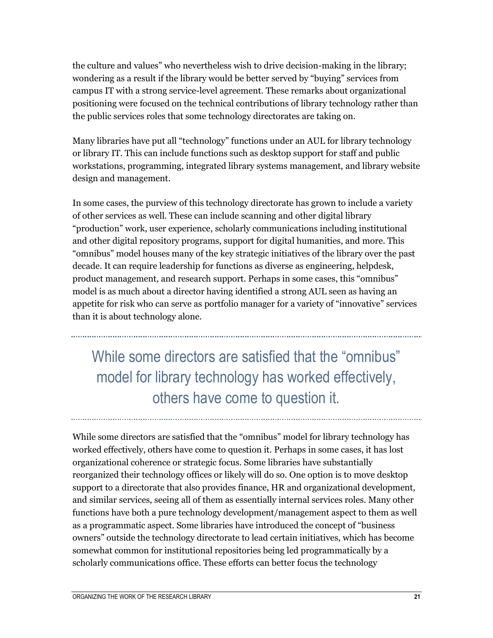the culture and values" who nevertheless wish to drive decision-making in the library; wondering as a result if the library would be better served by "buying" services from campus IT with a strong service-level agreement. These remarks about organizational positioning were focused on the technical contributions of library technology rather than the public services roles that some technology directorates are taking on.

Many libraries have put all "technology" functions under an AUL for library technology or library IT. This can include functions such as desktop support for staff and public workstations, programming, integrated library systems management, and library website design and management.

In some cases, the purview of this technology directorate has grown to include a variety of other services as well. These can include scanning and other digital library "production" work, user experience, scholarly communications including institutional and other digital repository programs, support for digital humanities, and more. This "omnibus" model houses many of the key strategic initiatives of the library over the past decade. It can require leadership for functions as diverse as engineering, helpdesk, product management, and research support. Perhaps in some cases, this "omnibus" model is as much about a director having identified a strong AUL seen as having an appetite for risk who can serve as portfolio manager for a variety of "innovative" services than it is about technology alone.

While some directors are satisfied that the "omnibus" model for library technology has worked effectively, others have come to question it.

While some directors are satisfied that the "omnibus" model for library technology has worked effectively, others have come to question it. Perhaps in some cases, it has lost organizational coherence or strategic focus. Some libraries have substantially reorganized their technology offices or likely will do so. One option is to move desktop support to a directorate that also provides finance, HR and organizational development, and similar services, seeing all of them as essentially internal services roles. Many other functions have both a pure technology development/management aspect to them as well as a programmatic aspect. Some libraries have introduced the concept of "business owners" outside the technology directorate to lead certain initiatives, which has become somewhat common for institutional repositories being led programmatically by a scholarly communications office. These efforts can better focus the technology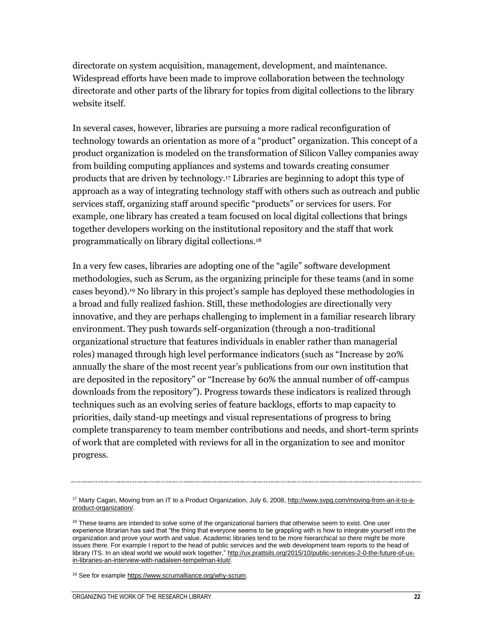directorate on system acquisition, management, development, and maintenance. Widespread efforts have been made to improve collaboration between the technology directorate and other parts of the library for topics from digital collections to the library website itself.

In several cases, however, libraries are pursuing a more radical reconfiguration of technology towards an orientation as more of a "product" organization. This concept of a product organization is modeled on the transformation of Silicon Valley companies away from building computing appliances and systems and towards creating consumer products that are driven by technology.<sup>17</sup> Libraries are beginning to adopt this type of approach as a way of integrating technology staff with others such as outreach and public services staff, organizing staff around specific "products" or services for users. For example, one library has created a team focused on local digital collections that brings together developers working on the institutional repository and the staff that work programmatically on library digital collections.<sup>18</sup>

In a very few cases, libraries are adopting one of the "agile" software development methodologies, such as Scrum, as the organizing principle for these teams (and in some cases beyond).<sup>19</sup> No library in this project's sample has deployed these methodologies in a broad and fully realized fashion. Still, these methodologies are directionally very innovative, and they are perhaps challenging to implement in a familiar research library environment. They push towards self-organization (through a non-traditional organizational structure that features individuals in enabler rather than managerial roles) managed through high level performance indicators (such as "Increase by 20% annually the share of the most recent year's publications from our own institution that are deposited in the repository" or "Increase by 60% the annual number of off-campus downloads from the repository"). Progress towards these indicators is realized through techniques such as an evolving series of feature backlogs, efforts to map capacity to priorities, daily stand-up meetings and visual representations of progress to bring complete transparency to team member contributions and needs, and short-term sprints of work that are completed with reviews for all in the organization to see and monitor progress.

<sup>17</sup> Marty Cagan, Moving from an IT to a Product Organization, July 6, 2008[, http://www.svpg.com/moving-from-an-it-to-a](http://www.svpg.com/moving-from-an-it-to-a-product-organization/)[product-organization/.](http://www.svpg.com/moving-from-an-it-to-a-product-organization/)

 $18$  These teams are intended to solve some of the organizational barriers that otherwise seem to exist. One user experience librarian has said that "the thing that everyone seems to be grappling with is how to integrate yourself into the organization and prove your worth and value. Academic libraries tend to be more hierarchical so there might be more issues there. For example I report to the head of public services and the web development team reports to the head of library ITS. In an ideal world we would work together,[" http://ux.prattsils.org/2015/10/public-services-2-0-the-future-of-ux](http://ux.prattsils.org/2015/10/public-services-2-0-the-future-of-ux-in-libraries-an-interview-with-nadaleen-tempelman-kluit/)[in-libraries-an-interview-with-nadaleen-tempelman-kluit/.](http://ux.prattsils.org/2015/10/public-services-2-0-the-future-of-ux-in-libraries-an-interview-with-nadaleen-tempelman-kluit/)

<sup>&</sup>lt;sup>19</sup> See for exampl[e https://www.scrumalliance.org/why-scrum.](https://www.scrumalliance.org/why-scrum)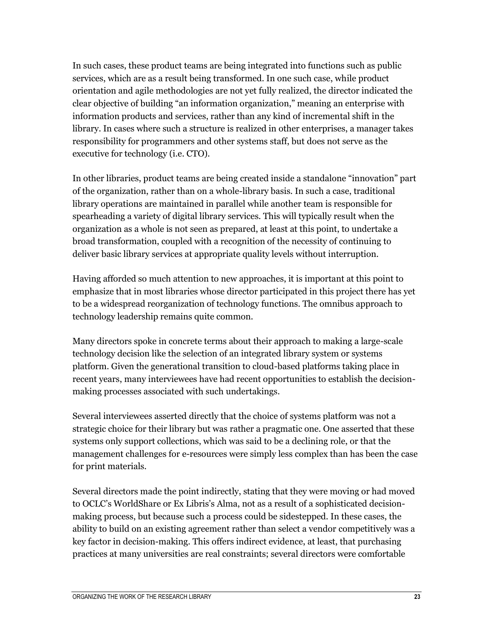In such cases, these product teams are being integrated into functions such as public services, which are as a result being transformed. In one such case, while product orientation and agile methodologies are not yet fully realized, the director indicated the clear objective of building "an information organization," meaning an enterprise with information products and services, rather than any kind of incremental shift in the library. In cases where such a structure is realized in other enterprises, a manager takes responsibility for programmers and other systems staff, but does not serve as the executive for technology (i.e. CTO).

In other libraries, product teams are being created inside a standalone "innovation" part of the organization, rather than on a whole-library basis. In such a case, traditional library operations are maintained in parallel while another team is responsible for spearheading a variety of digital library services. This will typically result when the organization as a whole is not seen as prepared, at least at this point, to undertake a broad transformation, coupled with a recognition of the necessity of continuing to deliver basic library services at appropriate quality levels without interruption.

Having afforded so much attention to new approaches, it is important at this point to emphasize that in most libraries whose director participated in this project there has yet to be a widespread reorganization of technology functions. The omnibus approach to technology leadership remains quite common.

Many directors spoke in concrete terms about their approach to making a large-scale technology decision like the selection of an integrated library system or systems platform. Given the generational transition to cloud-based platforms taking place in recent years, many interviewees have had recent opportunities to establish the decisionmaking processes associated with such undertakings.

Several interviewees asserted directly that the choice of systems platform was not a strategic choice for their library but was rather a pragmatic one. One asserted that these systems only support collections, which was said to be a declining role, or that the management challenges for e-resources were simply less complex than has been the case for print materials.

Several directors made the point indirectly, stating that they were moving or had moved to OCLC's WorldShare or Ex Libris's Alma, not as a result of a sophisticated decisionmaking process, but because such a process could be sidestepped. In these cases, the ability to build on an existing agreement rather than select a vendor competitively was a key factor in decision-making. This offers indirect evidence, at least, that purchasing practices at many universities are real constraints; several directors were comfortable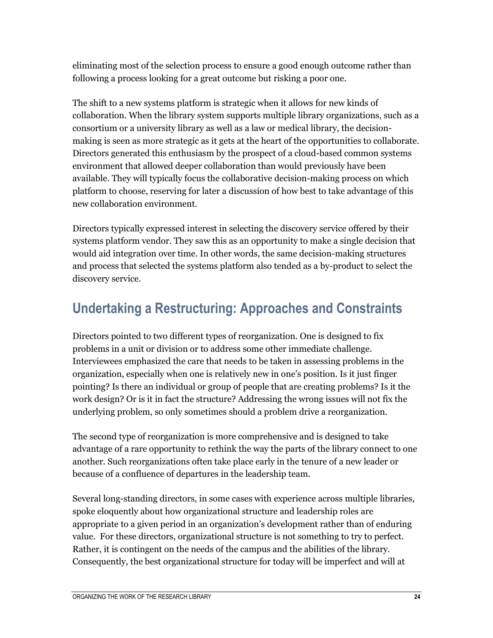eliminating most of the selection process to ensure a good enough outcome rather than following a process looking for a great outcome but risking a poor one.

The shift to a new systems platform is strategic when it allows for new kinds of collaboration. When the library system supports multiple library organizations, such as a consortium or a university library as well as a law or medical library, the decisionmaking is seen as more strategic as it gets at the heart of the opportunities to collaborate. Directors generated this enthusiasm by the prospect of a cloud-based common systems environment that allowed deeper collaboration than would previously have been available. They will typically focus the collaborative decision-making process on which platform to choose, reserving for later a discussion of how best to take advantage of this new collaboration environment.

Directors typically expressed interest in selecting the discovery service offered by their systems platform vendor. They saw this as an opportunity to make a single decision that would aid integration over time. In other words, the same decision-making structures and process that selected the systems platform also tended as a by-product to select the discovery service.

### **Undertaking a Restructuring: Approaches and Constraints**

Directors pointed to two different types of reorganization. One is designed to fix problems in a unit or division or to address some other immediate challenge. Interviewees emphasized the care that needs to be taken in assessing problems in the organization, especially when one is relatively new in one's position. Is it just finger pointing? Is there an individual or group of people that are creating problems? Is it the work design? Or is it in fact the structure? Addressing the wrong issues will not fix the underlying problem, so only sometimes should a problem drive a reorganization.

The second type of reorganization is more comprehensive and is designed to take advantage of a rare opportunity to rethink the way the parts of the library connect to one another. Such reorganizations often take place early in the tenure of a new leader or because of a confluence of departures in the leadership team.

Several long-standing directors, in some cases with experience across multiple libraries, spoke eloquently about how organizational structure and leadership roles are appropriate to a given period in an organization's development rather than of enduring value. For these directors, organizational structure is not something to try to perfect. Rather, it is contingent on the needs of the campus and the abilities of the library. Consequently, the best organizational structure for today will be imperfect and will at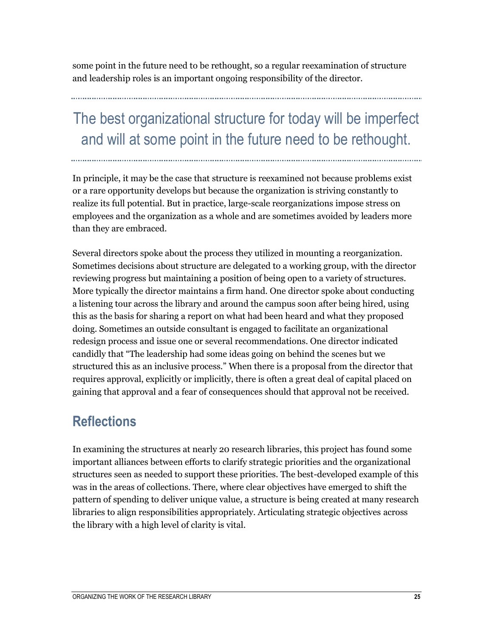some point in the future need to be rethought, so a regular reexamination of structure and leadership roles is an important ongoing responsibility of the director.

The best organizational structure for today will be imperfect and will at some point in the future need to be rethought.

In principle, it may be the case that structure is reexamined not because problems exist or a rare opportunity develops but because the organization is striving constantly to realize its full potential. But in practice, large-scale reorganizations impose stress on employees and the organization as a whole and are sometimes avoided by leaders more than they are embraced.

Several directors spoke about the process they utilized in mounting a reorganization. Sometimes decisions about structure are delegated to a working group, with the director reviewing progress but maintaining a position of being open to a variety of structures. More typically the director maintains a firm hand. One director spoke about conducting a listening tour across the library and around the campus soon after being hired, using this as the basis for sharing a report on what had been heard and what they proposed doing. Sometimes an outside consultant is engaged to facilitate an organizational redesign process and issue one or several recommendations. One director indicated candidly that "The leadership had some ideas going on behind the scenes but we structured this as an inclusive process." When there is a proposal from the director that requires approval, explicitly or implicitly, there is often a great deal of capital placed on gaining that approval and a fear of consequences should that approval not be received.

### **Reflections**

In examining the structures at nearly 20 research libraries, this project has found some important alliances between efforts to clarify strategic priorities and the organizational structures seen as needed to support these priorities. The best-developed example of this was in the areas of collections. There, where clear objectives have emerged to shift the pattern of spending to deliver unique value, a structure is being created at many research libraries to align responsibilities appropriately. Articulating strategic objectives across the library with a high level of clarity is vital.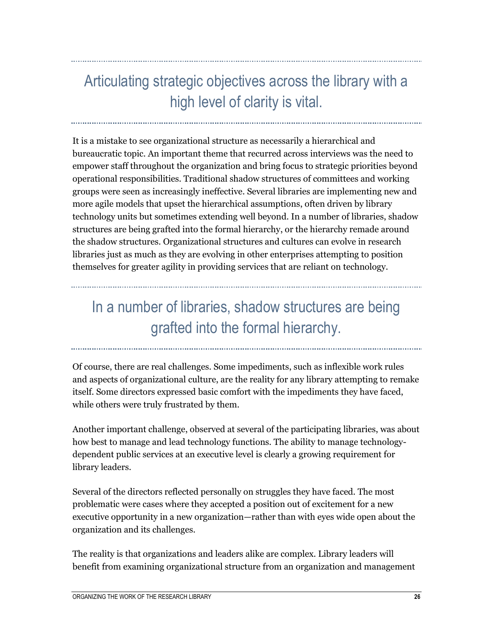## Articulating strategic objectives across the library with a high level of clarity is vital.

It is a mistake to see organizational structure as necessarily a hierarchical and bureaucratic topic. An important theme that recurred across interviews was the need to empower staff throughout the organization and bring focus to strategic priorities beyond operational responsibilities. Traditional shadow structures of committees and working groups were seen as increasingly ineffective. Several libraries are implementing new and more agile models that upset the hierarchical assumptions, often driven by library technology units but sometimes extending well beyond. In a number of libraries, shadow structures are being grafted into the formal hierarchy, or the hierarchy remade around the shadow structures. Organizational structures and cultures can evolve in research libraries just as much as they are evolving in other enterprises attempting to position themselves for greater agility in providing services that are reliant on technology.

## In a number of libraries, shadow structures are being grafted into the formal hierarchy.

Of course, there are real challenges. Some impediments, such as inflexible work rules and aspects of organizational culture, are the reality for any library attempting to remake itself. Some directors expressed basic comfort with the impediments they have faced, while others were truly frustrated by them.

Another important challenge, observed at several of the participating libraries, was about how best to manage and lead technology functions. The ability to manage technologydependent public services at an executive level is clearly a growing requirement for library leaders.

Several of the directors reflected personally on struggles they have faced. The most problematic were cases where they accepted a position out of excitement for a new executive opportunity in a new organization—rather than with eyes wide open about the organization and its challenges.

The reality is that organizations and leaders alike are complex. Library leaders will benefit from examining organizational structure from an organization and management